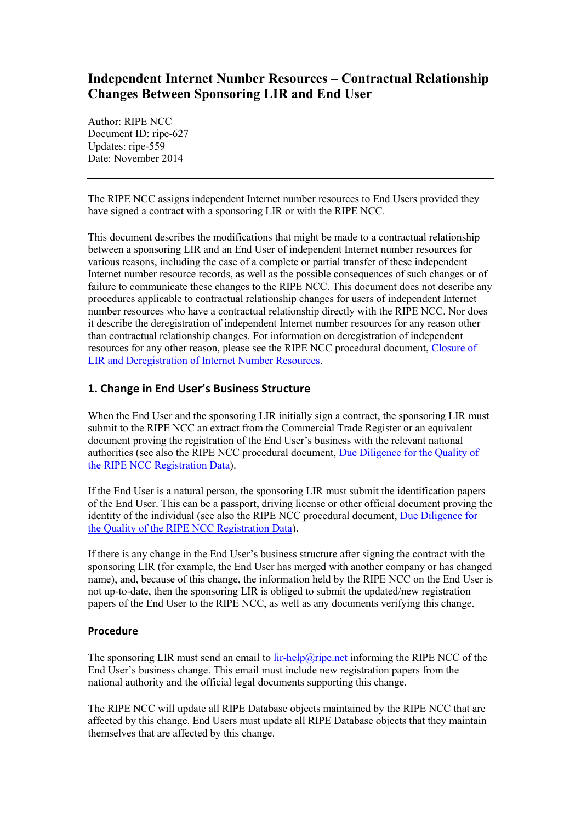# **Independent Internet Number Resources – Contractual Relationship Changes Between Sponsoring LIR and End User**

Author: RIPE NCC Document ID: ripe-627 Updates: ripe-559 Date: November 2014

The RIPE NCC assigns independent Internet number resources to End Users provided they have signed a contract with a sponsoring LIR or with the RIPE NCC.

This document describes the modifications that might be made to a contractual relationship between a sponsoring LIR and an End User of independent Internet number resources for various reasons, including the case of a complete or partial transfer of these independent Internet number resource records, as well as the possible consequences of such changes or of failure to communicate these changes to the RIPE NCC. This document does not describe any procedures applicable to contractual relationship changes for users of independent Internet number resources who have a contractual relationship directly with the RIPE NCC. Nor does it describe the deregistration of independent Internet number resources for any reason other than contractual relationship changes. For information on deregistration of independent resources for any other reason, please see the RIPE NCC procedural document, [Closure of](https://www.ripe.net/ripe/docs/closure)  [LIR and Deregistration of Internet Number Resources.](https://www.ripe.net/ripe/docs/closure)

## **1. Change in End User's Business Structure**

When the End User and the sponsoring LIR initially sign a contract, the sponsoring LIR must submit to the RIPE NCC an extract from the Commercial Trade Register or an equivalent document proving the registration of the End User's business with the relevant national authorities (see also the RIPE NCC procedural document, [Due Diligence for the Quality of](http://www.ripe.net/ripe/docs/due-diligence)  [the RIPE NCC Registration Data\)](http://www.ripe.net/ripe/docs/due-diligence).

If the End User is a natural person, the sponsoring LIR must submit the identification papers of the End User. This can be a passport, driving license or other official document proving the identity of the individual (see also the RIPE NCC procedural document, Due Diligence for [the Quality of the RIPE NCC Registration Data\)](http://www.ripe.net/ripe/docs/due-diligence).

If there is any change in the End User's business structure after signing the contract with the sponsoring LIR (for example, the End User has merged with another company or has changed name), and, because of this change, the information held by the RIPE NCC on the End User is not up-to-date, then the sponsoring LIR is obliged to submit the updated/new registration papers of the End User to the RIPE NCC, as well as any documents verifying this change.

### **Procedure**

The sponsoring LIR must send an email to lin-help@ripe.net informing the RIPE NCC of the End User's business change. This email must include new registration papers from the national authority and the official legal documents supporting this change.

The RIPE NCC will update all RIPE Database objects maintained by the RIPE NCC that are affected by this change. End Users must update all RIPE Database objects that they maintain themselves that are affected by this change.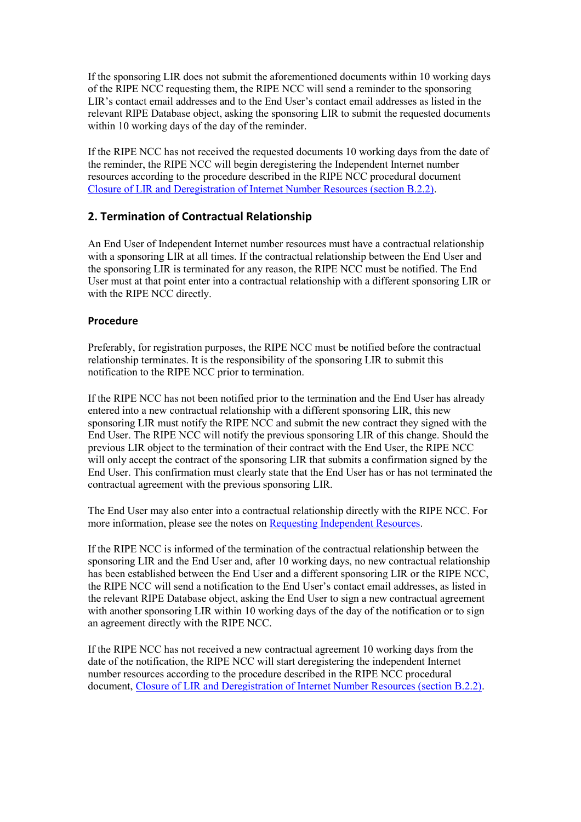If the sponsoring LIR does not submit the aforementioned documents within 10 working days of the RIPE NCC requesting them, the RIPE NCC will send a reminder to the sponsoring LIR's contact email addresses and to the End User's contact email addresses as listed in the relevant RIPE Database object, asking the sponsoring LIR to submit the requested documents within 10 working days of the day of the reminder.

If the RIPE NCC has not received the requested documents 10 working days from the date of the reminder, the RIPE NCC will begin deregistering the Independent Internet number resources according to the procedure described in the RIPE NCC procedural document [Closure of LIR and Deregistration of Internet Number Resources \(section B.2.2\).](https://www.ripe.net/ripe/docs/closure#b22)

### **2. Termination of Contractual Relationship**

An End User of Independent Internet number resources must have a contractual relationship with a sponsoring LIR at all times. If the contractual relationship between the End User and the sponsoring LIR is terminated for any reason, the RIPE NCC must be notified. The End User must at that point enter into a contractual relationship with a different sponsoring LIR or with the RIPE NCC directly.

#### **Procedure**

Preferably, for registration purposes, the RIPE NCC must be notified before the contractual relationship terminates. It is the responsibility of the sponsoring LIR to submit this notification to the RIPE NCC prior to termination.

If the RIPE NCC has not been notified prior to the termination and the End User has already entered into a new contractual relationship with a different sponsoring LIR, this new sponsoring LIR must notify the RIPE NCC and submit the new contract they signed with the End User. The RIPE NCC will notify the previous sponsoring LIR of this change. Should the previous LIR object to the termination of their contract with the End User, the RIPE NCC will only accept the contract of the sponsoring LIR that submits a confirmation signed by the End User. This confirmation must clearly state that the End User has or has not terminated the contractual agreement with the previous sponsoring LIR.

The End User may also enter into a contractual relationship directly with the RIPE NCC. For more information, please see the notes o[n Requesting Independent Resources.](https://www.ripe.net/lir-services/independent-resources)

If the RIPE NCC is informed of the termination of the contractual relationship between the sponsoring LIR and the End User and, after 10 working days, no new contractual relationship has been established between the End User and a different sponsoring LIR or the RIPE NCC, the RIPE NCC will send a notification to the End User's contact email addresses, as listed in the relevant RIPE Database object, asking the End User to sign a new contractual agreement with another sponsoring LIR within 10 working days of the day of the notification or to sign an agreement directly with the RIPE NCC.

If the RIPE NCC has not received a new contractual agreement 10 working days from the date of the notification, the RIPE NCC will start deregistering the independent Internet number resources according to the procedure described in the RIPE NCC procedural document, [Closure of LIR and Deregistration of Internet Number Resources \(section B.2.2\).](https://www.ripe.net/ripe/docs/closure#b22)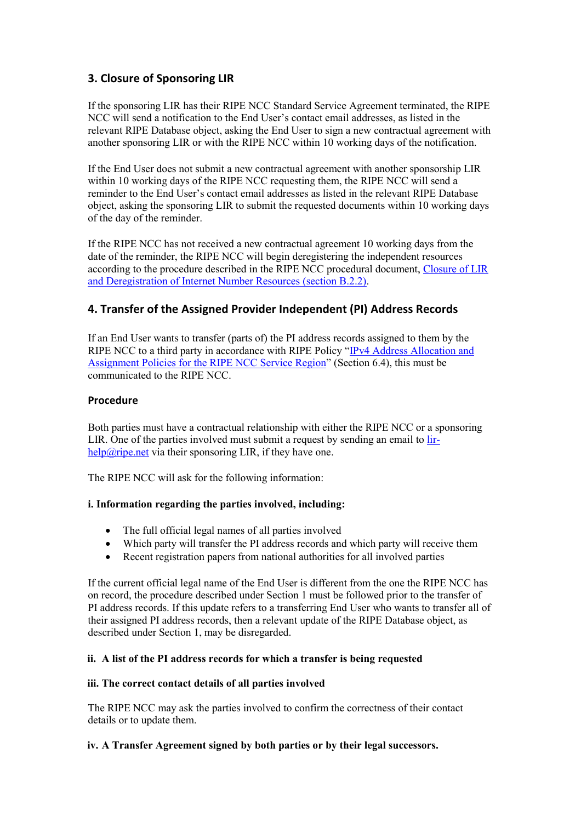# **3. Closure of Sponsoring LIR**

If the sponsoring LIR has their RIPE NCC Standard Service Agreement terminated, the RIPE NCC will send a notification to the End User's contact email addresses, as listed in the relevant RIPE Database object, asking the End User to sign a new contractual agreement with another sponsoring LIR or with the RIPE NCC within 10 working days of the notification.

If the End User does not submit a new contractual agreement with another sponsorship LIR within 10 working days of the RIPE NCC requesting them, the RIPE NCC will send a reminder to the End User's contact email addresses as listed in the relevant RIPE Database object, asking the sponsoring LIR to submit the requested documents within 10 working days of the day of the reminder.

If the RIPE NCC has not received a new contractual agreement 10 working days from the date of the reminder, the RIPE NCC will begin deregistering the independent resources according to the procedure described in the RIPE NCC procedural document, [Closure of LIR](https://www.ripe.net/ripe/docs/closure#b22)  [and Deregistration of Internet Number Resources \(section B.2.2\).](https://www.ripe.net/ripe/docs/closure#b22)

## **4. Transfer of the Assigned Provider Independent (PI) Address Records**

If an End User wants to transfer (parts of) the PI address records assigned to them by the RIPE NCC to a third party in accordance with RIPE Policy "IPv4 Address Allocation and [Assignment Policies for the RIPE NCC Service Region](https://www.ripe.net/ripe/docs/ipv4-policies)" (Section 6.4), this must be communicated to the RIPE NCC.

### **Procedure**

Both parties must have a contractual relationship with either the RIPE NCC or a sponsoring LIR. One of the parties involved must submit a request by sending an email to [lir](mailto:lir-help@ripe.net) $help@ripe.net$  via their sponsoring LIR, if they have one.

The RIPE NCC will ask for the following information:

### **i. Information regarding the parties involved, including:**

- The full official legal names of all parties involved
- Which party will transfer the PI address records and which party will receive them
- Recent registration papers from national authorities for all involved parties

If the current official legal name of the End User is different from the one the RIPE NCC has on record, the procedure described under Section 1 must be followed prior to the transfer of PI address records. If this update refers to a transferring End User who wants to transfer all of their assigned PI address records, then a relevant update of the RIPE Database object, as described under Section 1, may be disregarded.

### **ii. A list of the PI address records for which a transfer is being requested**

#### **iii. The correct contact details of all parties involved**

The RIPE NCC may ask the parties involved to confirm the correctness of their contact details or to update them.

#### **iv. A Transfer Agreement signed by both parties or by their legal successors.**